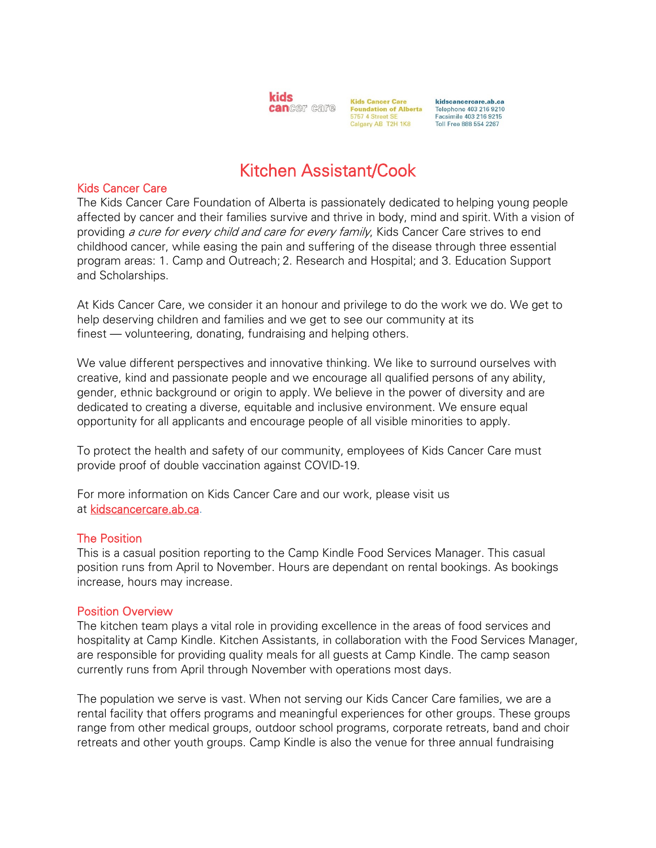

**Kids Cancer Care Foundation of Alberta** 5757 4 Street SE Calgary AB T2H 1K8

kidscancercare.ab.ca Telephone 403 216 9210 Facsimile 403 216 9215 Toll Free 888 554 2267

# Kitchen Assistant/Cook

#### Kids Cancer Care

The Kids Cancer Care Foundation of Alberta is passionately dedicated to helping young people affected by cancer and their families survive and thrive in body, mind and spirit. With a vision of providing a cure for every child and care for every family, Kids Cancer Care strives to end childhood cancer, while easing the pain and suffering of the disease through three essential program areas: 1. Camp and Outreach; 2. Research and Hospital; and 3. Education Support and Scholarships.

At Kids Cancer Care, we consider it an honour and privilege to do the work we do. We get to help deserving children and families and we get to see our community at its finest — volunteering, donating, fundraising and helping others.

We value different perspectives and innovative thinking. We like to surround ourselves with creative, kind and passionate people and we encourage all qualified persons of any ability, gender, ethnic background or origin to apply. We believe in the power of diversity and are dedicated to creating a diverse, equitable and inclusive environment. We ensure equal opportunity for all applicants and encourage people of all visible minorities to apply.

To protect the health and safety of our community, employees of Kids Cancer Care must provide proof of double vaccination against COVID-19.

For more information on Kids Cancer Care and our work, please visit us at [kidscancercare.ab.ca.](http://www.kidscancercare.ab.ca/)

# The Position

This is a casual position reporting to the Camp Kindle Food Services Manager. This casual position runs from April to November. Hours are dependant on rental bookings. As bookings increase, hours may increase.

#### Position Overview

The kitchen team plays a vital role in providing excellence in the areas of food services and hospitality at Camp Kindle. Kitchen Assistants, in collaboration with the Food Services Manager, are responsible for providing quality meals for all guests at Camp Kindle. The camp season currently runs from April through November with operations most days.

The population we serve is vast. When not serving our Kids Cancer Care families, we are a rental facility that offers programs and meaningful experiences for other groups. These groups range from other medical groups, outdoor school programs, corporate retreats, band and choir retreats and other youth groups. Camp Kindle is also the venue for three annual fundraising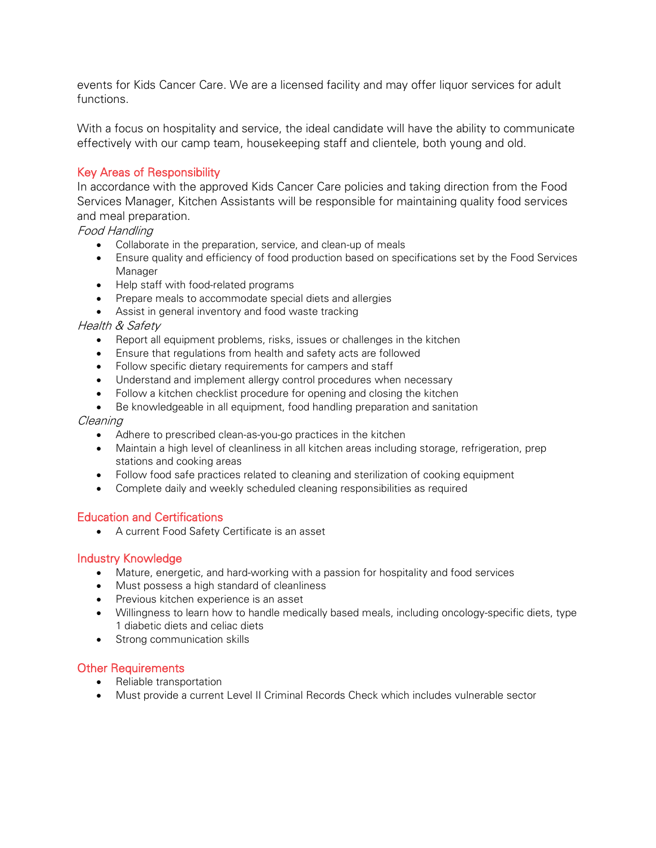events for Kids Cancer Care. We are a licensed facility and may offer liquor services for adult functions.

With a focus on hospitality and service, the ideal candidate will have the ability to communicate effectively with our camp team, housekeeping staff and clientele, both young and old.

# Key Areas of Responsibility

In accordance with the approved Kids Cancer Care policies and taking direction from the Food Services Manager, Kitchen Assistants will be responsible for maintaining quality food services and meal preparation.

#### Food Handling

- Collaborate in the preparation, service, and clean-up of meals
- Ensure quality and efficiency of food production based on specifications set by the Food Services Manager
- Help staff with food-related programs
- Prepare meals to accommodate special diets and allergies
- Assist in general inventory and food waste tracking

#### Health & Safety

- Report all equipment problems, risks, issues or challenges in the kitchen
- Ensure that regulations from health and safety acts are followed
- Follow specific dietary requirements for campers and staff
- Understand and implement allergy control procedures when necessary
- Follow a kitchen checklist procedure for opening and closing the kitchen
- Be knowledgeable in all equipment, food handling preparation and sanitation

#### Cleaning

- Adhere to prescribed clean-as-you-go practices in the kitchen
- Maintain a high level of cleanliness in all kitchen areas including storage, refrigeration, prep stations and cooking areas
- Follow food safe practices related to cleaning and sterilization of cooking equipment
- Complete daily and weekly scheduled cleaning responsibilities as required

# Education and Certifications

• A current Food Safety Certificate is an asset

# Industry Knowledge

- Mature, energetic, and hard-working with a passion for hospitality and food services
- Must possess a high standard of cleanliness
- Previous kitchen experience is an asset
- Willingness to learn how to handle medically based meals, including oncology-specific diets, type 1 diabetic diets and celiac diets
- Strong communication skills

# Other Requirements

- Reliable transportation
- Must provide a current Level II Criminal Records Check which includes vulnerable sector